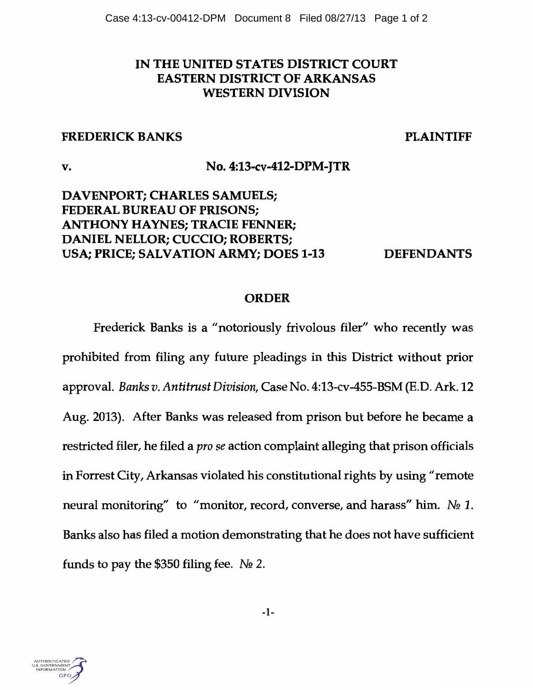# IN THE UNITED STATES DISTRICT COURT EASTERN DISTRICT OF ARKANSAS WESTERN DIVISION

## FREDERICK BANKS

### PLAINTIFF

#### v. No. 4:13-cv-412-DPM-JTR

# DAVENPORT; CHARLES SAMUELS; FEDERAL BUREAU OF PRISONS; ANTHONY HAYNES; TRACIE FENNER; DANIEL NELLOR; CUCCIO; ROBERTS; USA; PRICE; SALVATION ARMY; DOES 1-13 DEFENDANTS

### ORDER

Frederick Banks is a "notoriously frivolous filer" who recently was prohibited from filing any future pleadings in this District without prior approval. *Banks v. Antitrust Division,* Case No. 4:13-cv-455-BSM (E. D. Ark. 12 Aug. 2013). After Banks was released from prison but before he became a restricted filer, he filed a *pro se* action complaint alleging that prison officials in Forrest City, Arkansas violated his constitutional rights by using "remote neural monitoring" to "monitor, record, converse, and harass" him.  $N_2$  1. Banks also has filed a motion demonstrating that he does not have sufficient funds to pay the \$350 filing fee. *Ng* 2.